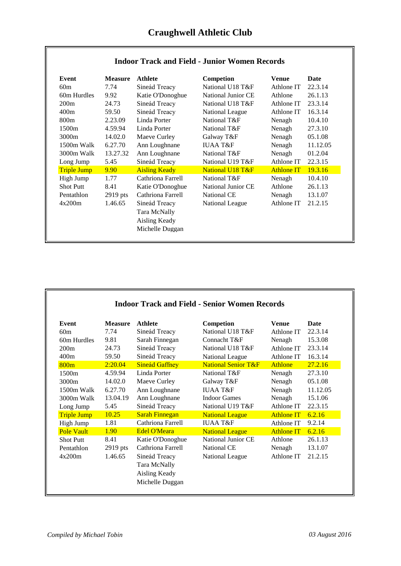| Event              | <b>Measure</b> | <b>Athlete</b>       | Competion                 | Venue             | Date     |
|--------------------|----------------|----------------------|---------------------------|-------------------|----------|
| 60m                | 7.74           | Sineád Treacy        | National U18 T&F          | Athlone IT        | 22.3.14  |
| 60m Hurdles        | 9.92           | Katie O'Donoghue     | <b>National Junior CE</b> | Athlone           | 26.1.13  |
| 200m               | 24.73          | Sineád Treacy        | National U18 T&F          | Athlone IT        | 23.3.14  |
| 400m               | 59.50          | Sineád Treacy        | National League           | Athlone IT        | 16.3.14  |
| 800 <sub>m</sub>   | 2.23.09        | Linda Porter         | National T&F              | Nenagh            | 10.4.10  |
| 1500 <sub>m</sub>  | 4.59.94        | Linda Porter         | National T&F              | Nenagh            | 27.3.10  |
| 3000m              | 14.02.0        | Maeve Curley         | Galway T&F                | Nenagh            | 05.1.08  |
| $1500m$ Walk       | 6.27.70        | Ann Loughnane        | <b>IUAA T&amp;F</b>       | Nenagh            | 11.12.05 |
| 3000m Walk         | 13.27.32       | Ann Loughnane        | National T&F              | Nenagh            | 01.2.04  |
| Long Jump          | 5.45           | Sineád Treacy        | National U19 T&F          | Athlone IT        | 22.3.15  |
| <b>Triple Jump</b> | 9.90           | <b>Aisling Keady</b> | National U18 T&F          | <b>Athlone IT</b> | 19.3.16  |
| High Jump          | 1.77           | Cathriona Farrell    | National T&F              | Nenagh            | 10.4.10  |
| <b>Shot Putt</b>   | 8.41           | Katie O'Donoghue     | National Junior CE        | Athlone           | 26.1.13  |
| Pentathlon         | 2919 pts       | Cathriona Farrell    | National CE               | Nenagh            | 13.1.07  |
| 4x200m             | 1.46.65        | Sineád Treacy        | National League           | Athlone IT        | 21.2.15  |
|                    |                | Tara McNally         |                           |                   |          |
|                    |                | Aisling Keady        |                           |                   |          |
|                    |                | Michelle Duggan      |                           |                   |          |

## **Indoor Track and Field - Junior Women Records**

| Event              | <b>Measure</b> | <b>Athlete</b>                                                    | Competion                      | <b>Venue</b>      | <b>Date</b> |
|--------------------|----------------|-------------------------------------------------------------------|--------------------------------|-------------------|-------------|
| 60m                | 7.74           | Sineád Treacy                                                     | National U18 T&F               | Athlone IT        | 22.3.14     |
| 60m Hurdles        | 9.81           | Sarah Finnegan                                                    | Connacht T&F                   | Nenagh            | 15.3.08     |
| 200m               | 24.73          | Sineád Treacy                                                     | National U18 T&F               | Athlone IT        | 23.3.14     |
| 400m               | 59.50          | Sineád Treacy                                                     | National League                | Athlone IT        | 16.3.14     |
| 800m               | 2:20.04        | <b>Sineád Gaffney</b>                                             | <b>National Senior T&amp;F</b> | <b>Athlone</b>    | 27.2.16     |
| 1500 <sub>m</sub>  | 4.59.94        | Linda Porter                                                      | National T&F                   | Nenagh            | 27.3.10     |
| 3000m              | 14.02.0        | Maeve Curley                                                      | Galway T&F                     | Nenagh            | 05.1.08     |
| $1500m$ Walk       | 6.27.70        | Ann Loughnane                                                     | <b>IUAA T&amp;F</b>            | Nenagh            | 11.12.05    |
| $3000m$ Walk       | 13.04.19       | Ann Loughnane                                                     | <b>Indoor Games</b>            | Nenagh            | 15.1.06     |
| Long Jump          | 5.45           | Sineád Treacy                                                     | National U19 T&F               | Athlone IT        | 22.3.15     |
| <b>Triple Jump</b> | 10.25          | <b>Sarah Finnegan</b>                                             | <b>National League</b>         | <b>Athlone IT</b> | 6.2.16      |
| High Jump          | 1.81           | Cathriona Farrell                                                 | <b>IUAA T&amp;F</b>            | Athlone IT        | 9.2.14      |
| <b>Pole Vault</b>  | 1.90           | <b>Edel O'Meara</b>                                               | <b>National League</b>         | <b>Athlone IT</b> | 6.2.16      |
| <b>Shot Putt</b>   | 8.41           | Katie O'Donoghue                                                  | National Junior CE             | Athlone           | 26.1.13     |
| Pentathlon         | $2919$ pts     | Cathriona Farrell                                                 | National CE                    | Nenagh            | 13.1.07     |
| 4x200m             | 1.46.65        | Sineád Treacy<br>Tara McNally<br>Aisling Keady<br>Michelle Duggan | National League                | Athlone IT        | 21.2.15     |